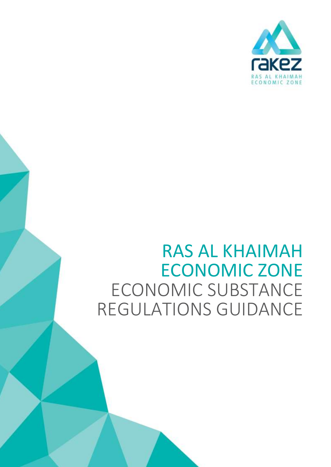

# RAS AL KHAIMAH ECONOMIC ZONE ECONOMIC SUBSTANCE REGULATIONS GUIDANCE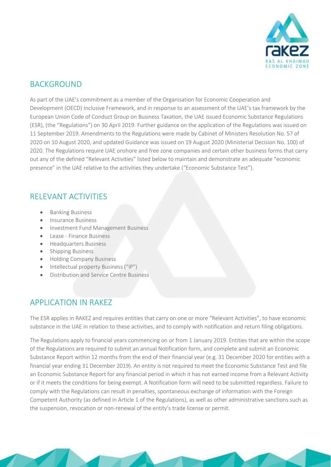

#### BACKGROUND

As part of the UAE's commitment as a member of the Organisation for Economic Cooperation and Development (OECD) Inclusive Framework, and in response to an assessment of the UAE's tax framework by the European Union Code of Conduct Group on Business Taxation, the UAE issued Economic Substance Regulations (ESR), (the "Regulations") on 30 April 2019. Further guidance on the application of the Regulations was issued on 11 September 2019. Amendments to the Regulations were made by Cabinet of Ministers Resolution No. 57 of 2020 on 10 August 2020, and updated Guidance was issued on 19 August 2020 (Ministerial Decision No. 100) of 2020. The Regulations require UAE onshore and free zone companies and certain other business forms that carry out any of the defined "Relevant Activities" listed below to maintain and demonstrate an adequate "economic presence" in the UAE relative to the activities they undertake ("Economic Substance Test").

#### RELEVANT ACTIVITIES

- Banking Business
- Insurance Business
- Investment Fund Management Business
- Lease Finance Business
- **•** Headquarters Business
- Shipping Business
- Holding Company Business
- Intellectual property Business ("IP")
- Distribution and Service Centre Business

## APPLICATION IN RAKEZ

The ESR applies in RAKEZ and requires entities that carry on one or more "Relevant Activities", to have economic substance in the UAE in relation to these activities, and to comply with notification and return filing obligations.

The Regulations apply to financial years commencing on or from 1 January 2019. Entities that are within the scope of the Regulations are required to submit an annual Notification form, and complete and submit an Economic Substance Report within 12 months from the end of their financial year (e.g. 31 December 2020 for entities with a financial year ending 31 December 2019). An entity is not required to meet the Economic Substance Test and file an Economic Substance Report for any financial period in which it has not earned income from a Relevant Activity or if it meets the conditions for being exempt. A Notification form will need to be submitted regardless. Failure to comply with the Regulations can result in penalties, spontaneous exchange of information with the Foreign Competent Authority (as defined in Article 1 of the Regulations), as well as other administrative sanctions such as the suspension, revocation or non-renewal of the entity's trade license or permit.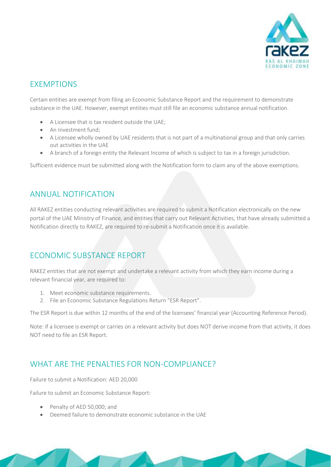

## **EXEMPTIONS**

Certain entities are exempt from filing an Economic Substance Report and the requirement to demonstrate substance in the UAE. However, exempt entities must still file an economic substance annual notification.

- A Licensee that is tax resident outside the UAE;
- An Investment fund:
- A Licensee wholly owned by UAE residents that is not part of a multinational group and that only carries out activities in the UAE
- A branch of a foreign entity the Relevant Income of which is subject to tax in a foreign jurisdiction.

Sufficient evidence must be submitted along with the Notification form to claim any of the above exemptions.

#### ANNUAL NOTIFICATION

All RAKEZ entities conducting relevant activities are required to submit a Notification electronically on the new portal of the UAE Ministry of Finance, and entities that carry out Relevant Activities, that have already submitted a Notification directly to RAKEZ, are required to re-submit a Notification once it is available.

## ECONOMIC SUBSTANCE REPORT

RAKEZ entities that are not exempt and undertake a relevant activity from which they earn income during a relevant financial year, are required to:

- 1. Meet economic substance requirements.
- 2. File an Economic Substance Regulations Return "ESR Report".

The ESR Report is due within 12 months of the end of the licensees' financial year (Accounting Reference Period).

Note: if a licensee is exempt or carries on a relevant activity but does NOT derive income from that activity, it does NOT need to file an ESR Report.

## WHAT ARE THE PENALTIES FOR NON-COMPLIANCE?

Failure to submit a Notification: AED 20,000

Failure to submit an Economic Substance Report:

- Penalty of AED 50,000; and
- Deemed failure to demonstrate economic substance in the UAE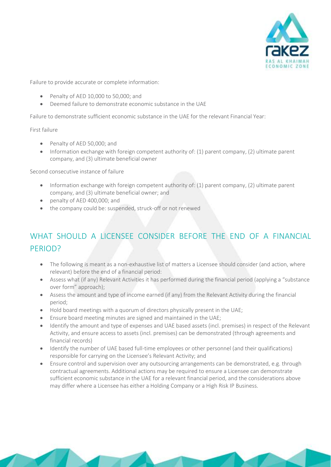

Failure to provide accurate or complete information:

- Penalty of AED 10,000 to 50,000; and
- Deemed failure to demonstrate economic substance in the UAE

Failure to demonstrate sufficient economic substance in the UAE for the relevant Financial Year:

First failure

- Penalty of AED 50,000; and
- Information exchange with foreign competent authority of: (1) parent company, (2) ultimate parent company, and (3) ultimate beneficial owner

Second consecutive instance of failure

- Information exchange with foreign competent authority of: (1) parent company, (2) ultimate parent company, and (3) ultimate beneficial owner; and
- penalty of AED 400,000; and
- the company could be: suspended, struck-off or not renewed

# WHAT SHOULD A LICENSEE CONSIDER BEFORE THE END OF A FINANCIAL PERIOD?

- The following is meant as a non-exhaustive list of matters a Licensee should consider (and action, where relevant) before the end of a financial period:
- Assess what (if any) Relevant Activities it has performed during the financial period (applying a "substance over form" approach);
- Assess the amount and type of income earned (if any) from the Relevant Activity during the financial period;
- Hold board meetings with a quorum of directors physically present in the UAE;
- Ensure board meeting minutes are signed and maintained in the UAE;
- Identify the amount and type of expenses and UAE based assets (incl. premises) in respect of the Relevant Activity, and ensure access to assets (incl. premises) can be demonstrated (through agreements and financial records)
- Identify the number of UAE based full-time employees or other personnel (and their qualifications) responsible for carrying on the Licensee's Relevant Activity; and
- Ensure control and supervision over any outsourcing arrangements can be demonstrated, e.g. through contractual agreements. Additional actions may be required to ensure a Licensee can demonstrate sufficient economic substance in the UAE for a relevant financial period, and the considerations above may differ where a Licensee has either a Holding Company or a High Risk IP Business.